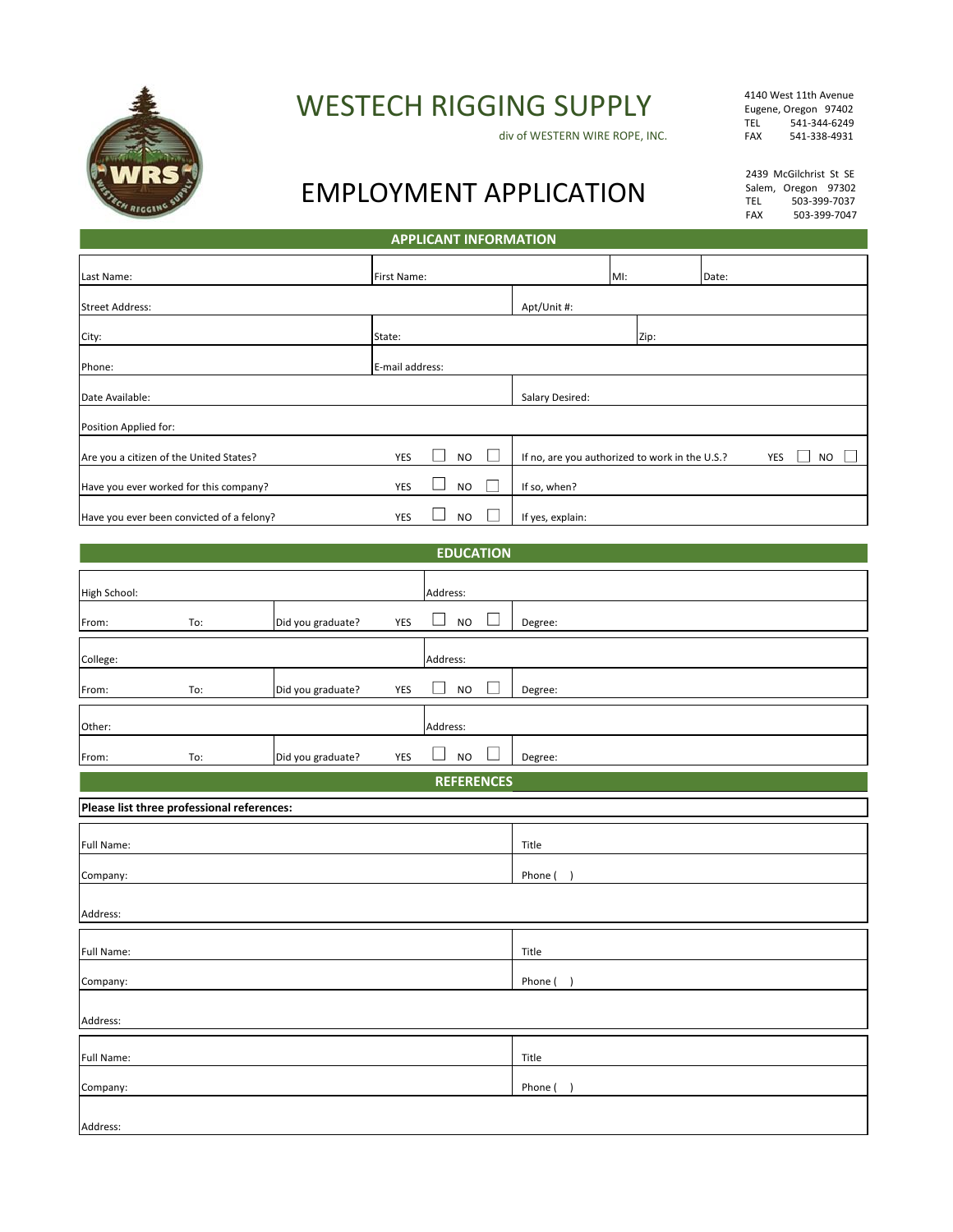

WESTECH RIGGING SUPPLY

div of WESTERN WIRE ROPE, INC.

4140 West 11th Avenue Eugene, Oregon 97402 TEL 541-344-6249<br>FAX 541-338-4931 FAX 541-338-4931

## EMPLOYMENT APPLICATION

2439 McGilchrist St SE Salem, Oregon 97302<br>TEL 503-399-7037 TEL 503-399-7037<br>FAX 503-399-7047 FAX 503-399-7047

| APPLICANT INFORMATION |  |  |  |
|-----------------------|--|--|--|
|                       |  |  |  |
|                       |  |  |  |

| Last Name:                                | First Name:     |  |           |  |                                                | MI:  |  | Date: |     |                |
|-------------------------------------------|-----------------|--|-----------|--|------------------------------------------------|------|--|-------|-----|----------------|
| <b>Street Address:</b>                    |                 |  |           |  | Apt/Unit #:                                    |      |  |       |     |                |
| City:                                     | State:          |  |           |  |                                                | Zip: |  |       |     |                |
| Phone:                                    | E-mail address: |  |           |  |                                                |      |  |       |     |                |
| Date Available:                           |                 |  |           |  | Salary Desired:                                |      |  |       |     |                |
| Position Applied for:                     |                 |  |           |  |                                                |      |  |       |     |                |
| Are you a citizen of the United States?   | YES             |  | <b>NO</b> |  | If no, are you authorized to work in the U.S.? |      |  |       | YES | N <sub>O</sub> |
| Have you ever worked for this company?    | YES             |  | <b>NO</b> |  | If so, when?                                   |      |  |       |     |                |
| Have you ever been convicted of a felony? | YES             |  | <b>NO</b> |  | If yes, explain:                               |      |  |       |     |                |

## **EDUCATION**

| High School:       |                                            |                   |     | Address:  |        |         |  |  |  |
|--------------------|--------------------------------------------|-------------------|-----|-----------|--------|---------|--|--|--|
| From:              | To:                                        | Did you graduate? | YES | <b>NO</b> |        | Degree: |  |  |  |
| College:           | Address:                                   |                   |     |           |        |         |  |  |  |
| From:              | To:                                        | Did you graduate? | YES | <b>NO</b> | $\sim$ | Degree: |  |  |  |
| Address:<br>Other: |                                            |                   |     |           |        |         |  |  |  |
| From:              | To:                                        | Did you graduate? | YES | <b>NO</b> |        | Degree: |  |  |  |
|                    | <b>REFERENCES</b>                          |                   |     |           |        |         |  |  |  |
|                    | Please list three professional references: |                   |     |           |        |         |  |  |  |
| Full Name:         |                                            |                   |     |           |        | Title   |  |  |  |
| Company:           |                                            |                   |     |           |        | Phone ( |  |  |  |
| Address:           |                                            |                   |     |           |        |         |  |  |  |
|                    |                                            |                   |     |           |        |         |  |  |  |
| Full Name:         |                                            |                   |     |           |        | Title   |  |  |  |
| Company:           |                                            |                   |     |           |        | Phone ( |  |  |  |
| Address:           |                                            |                   |     |           |        |         |  |  |  |
| Full Name:         |                                            |                   |     |           |        | Title   |  |  |  |
| Company:           |                                            |                   |     |           |        | Phone ( |  |  |  |
| Address:           |                                            |                   |     |           |        |         |  |  |  |